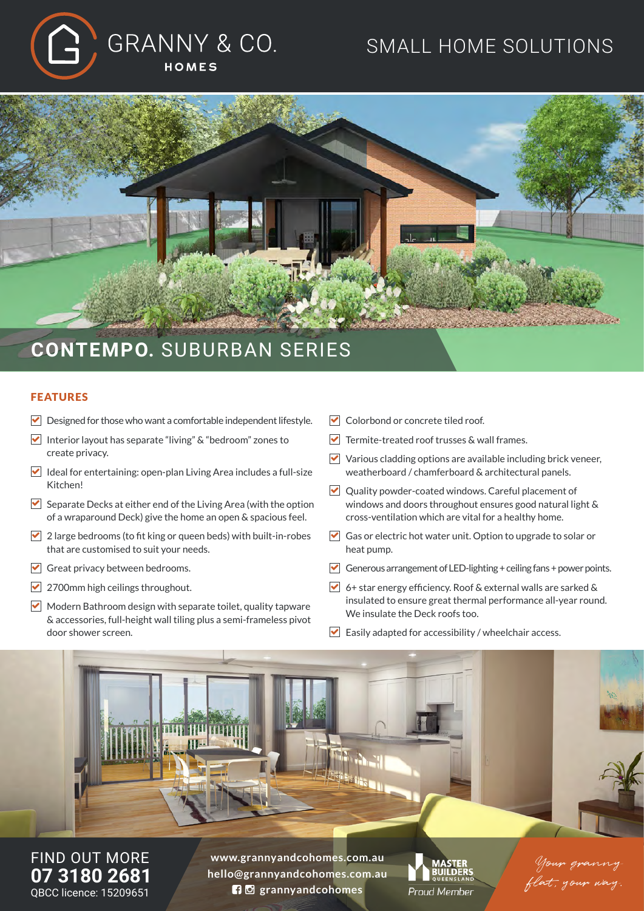

## SMALL HOME SOLUTIONS



## FEATURES

- $\triangleright$  Designed for those who want a comfortable independent lifestyle.
- Interior layout has separate "living"  $\&$  "bedroom" zones to create privacy.
- $\blacktriangleright$  Ideal for entertaining: open-plan Living Area includes a full-size Kitchen!
- $\triangledown$  Separate Decks at either end of the Living Area (with the option of a wraparound Deck) give the home an open & spacious feel.
- $\blacktriangleright$  2 large bedrooms (to fit king or queen beds) with built-in-robes that are customised to suit your needs.
- $\triangledown$  Great privacy between bedrooms.
- 2700mm high ceilings throughout.
- $\blacktriangleright$  Modern Bathroom design with separate toilet, quality tapware & accessories, full-height wall tiling plus a semi-frameless pivot door shower screen.
- Colorbond or concrete tiled roof.
- $\blacktriangleright$  Termite-treated roof trusses & wall frames.
- $\triangledown$  Various cladding options are available including brick veneer. weatherboard / chamferboard & architectural panels.
- Quality powder-coated windows. Careful placement of windows and doors throughout ensures good natural light & cross-ventilation which are vital for a healthy home.
- Gas or electric hot water unit. Option to upgrade to solar or heat pump.
- Generous arrangement of LED-lighting + ceiling fans + power points.
- 6+ star energy efficiency. Roof & external walls are sarked & insulated to ensure great thermal performance all-year round. We insulate the Deck roofs too.
- $\triangledown$  Easily adapted for accessibility / wheelchair access.



FIND OUT MORE **07 3180 2681** QBCC licence: 15209651

**www.grannyandcohomes.com.au hello@grannyandcohomes.com.au grannyandcohomes**



Your granny flat, your way.